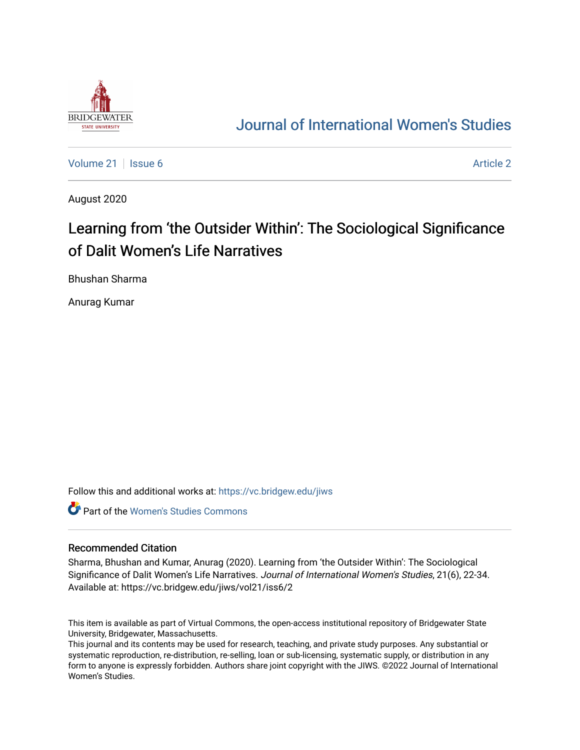

# [Journal of International Women's Studies](https://vc.bridgew.edu/jiws)

[Volume 21](https://vc.bridgew.edu/jiws/vol21) | [Issue 6](https://vc.bridgew.edu/jiws/vol21/iss6) [Article 2](https://vc.bridgew.edu/jiws/vol21/iss6/2) | Article 2 Article 2 | Article 2 Article 2 | Article 2 | Article 2 | Article 2

August 2020

# Learning from 'the Outsider Within': The Sociological Significance of Dalit Women's Life Narratives

Bhushan Sharma

Anurag Kumar

Follow this and additional works at: [https://vc.bridgew.edu/jiws](https://vc.bridgew.edu/jiws?utm_source=vc.bridgew.edu%2Fjiws%2Fvol21%2Fiss6%2F2&utm_medium=PDF&utm_campaign=PDFCoverPages)

**C** Part of the Women's Studies Commons

#### Recommended Citation

Sharma, Bhushan and Kumar, Anurag (2020). Learning from 'the Outsider Within': The Sociological Significance of Dalit Women's Life Narratives. Journal of International Women's Studies, 21(6), 22-34. Available at: https://vc.bridgew.edu/jiws/vol21/iss6/2

This item is available as part of Virtual Commons, the open-access institutional repository of Bridgewater State University, Bridgewater, Massachusetts.

This journal and its contents may be used for research, teaching, and private study purposes. Any substantial or systematic reproduction, re-distribution, re-selling, loan or sub-licensing, systematic supply, or distribution in any form to anyone is expressly forbidden. Authors share joint copyright with the JIWS. ©2022 Journal of International Women's Studies.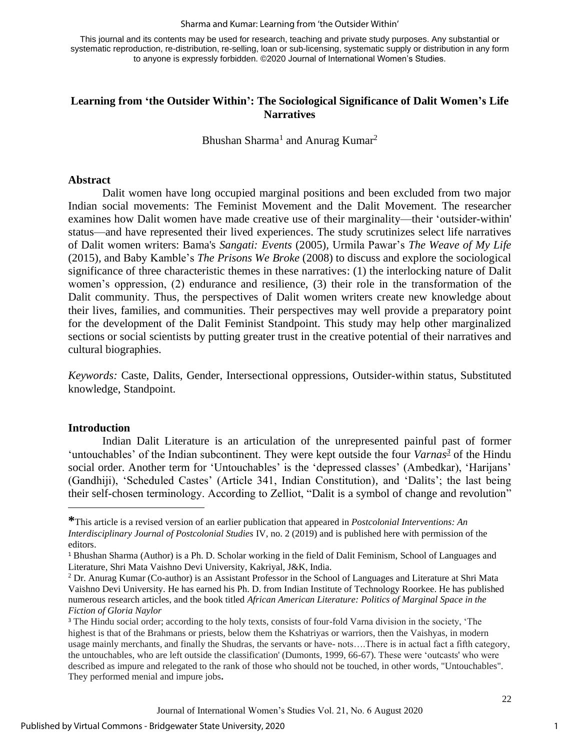This journal and its contents may be used for research, teaching and private study purposes. Any substantial or systematic reproduction, re-distribution, re-selling, loan or sub-licensing, systematic supply or distribution in any form to anyone is expressly forbidden. ©2020 Journal of International Women's Studies.

# **Learning from 'the Outsider Within': The Sociological Significance of Dalit Women's Life Narratives**

Bhushan Sharma<sup>1</sup> and Anurag Kumar<sup>2</sup>

#### **Abstract**

Dalit women have long occupied marginal positions and been excluded from two major Indian social movements: The Feminist Movement and the Dalit Movement. The researcher examines how Dalit women have made creative use of their marginality—their 'outsider-within' status—and have represented their lived experiences. The study scrutinizes select life narratives of Dalit women writers: Bama's *Sangati: Events* (2005)*,* Urmila Pawar's *The Weave of My Life* (2015)*,* and Baby Kamble's *The Prisons We Broke* (2008) to discuss and explore the sociological significance of three characteristic themes in these narratives: (1) the interlocking nature of Dalit women's oppression, (2) endurance and resilience, (3) their role in the transformation of the Dalit community. Thus, the perspectives of Dalit women writers create new knowledge about their lives, families, and communities. Their perspectives may well provide a preparatory point for the development of the Dalit Feminist Standpoint. This study may help other marginalized sections or social scientists by putting greater trust in the creative potential of their narratives and cultural biographies.

*Keywords:* Caste, Dalits, Gender, Intersectional oppressions, Outsider-within status, Substituted knowledge, Standpoint.

#### **Introduction**

Indian Dalit Literature is an articulation of the unrepresented painful past of former 'untouchables' of the Indian subcontinent. They were kept outside the four *Varnas<sup>3</sup>* of the Hindu social order. Another term for 'Untouchables' is the 'depressed classes' (Ambedkar), 'Harijans' (Gandhiji), 'Scheduled Castes' (Article 341, Indian Constitution), and 'Dalits'; the last being their self-chosen terminology. According to Zelliot, "Dalit is a symbol of change and revolution"

1

**<sup>\*</sup>**This article is a revised version of an earlier publication that appeared in *Postcolonial Interventions: An Interdisciplinary Journal of Postcolonial Studies* IV, no. 2 (2019) and is published here with permission of the editors.

<sup>1</sup> Bhushan Sharma (Author) is a Ph. D. Scholar working in the field of Dalit Feminism, School of Languages and Literature, Shri Mata Vaishno Devi University, Kakriyal, J&K, India.

<sup>2</sup> Dr. Anurag Kumar (Co-author) is an Assistant Professor in the School of Languages and Literature at Shri Mata Vaishno Devi University. He has earned his Ph. D. from Indian Institute of Technology Roorkee. He has published numerous research articles, and the book titled *African American Literature: Politics of Marginal Space in the Fiction of Gloria Naylor*

<sup>&</sup>lt;sup>3</sup> The Hindu social order; according to the holy texts, consists of four-fold Varna division in the society, 'The highest is that of the Brahmans or priests, below them the Kshatriyas or warriors, then the Vaishyas, in modern usage mainly merchants, and finally the Shudras, the servants or have- nots….There is in actual fact a fifth category, the untouchables, who are left outside the classification' (Dumonts, 1999, 66-67). These were 'outcasts' who were described as impure and relegated to the rank of those who should not be touched, in other words, "Untouchables". They performed menial and impure jobs**.**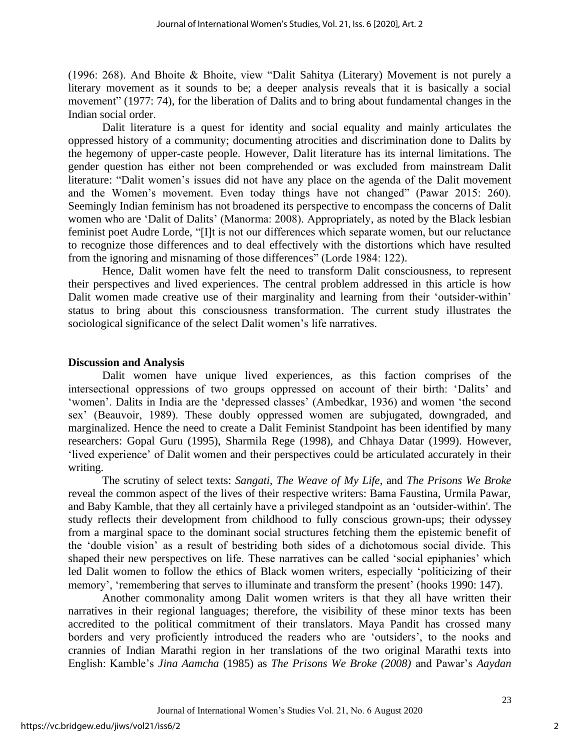(1996: 268). And Bhoite & Bhoite, view "Dalit Sahitya (Literary) Movement is not purely a literary movement as it sounds to be; a deeper analysis reveals that it is basically a social movement" (1977: 74), for the liberation of Dalits and to bring about fundamental changes in the Indian social order.

Dalit literature is a quest for identity and social equality and mainly articulates the oppressed history of a community; documenting atrocities and discrimination done to Dalits by the hegemony of upper-caste people. However, Dalit literature has its internal limitations. The gender question has either not been comprehended or was excluded from mainstream Dalit literature: "Dalit women's issues did not have any place on the agenda of the Dalit movement and the Women's movement. Even today things have not changed" (Pawar 2015: 260). Seemingly Indian feminism has not broadened its perspective to encompass the concerns of Dalit women who are 'Dalit of Dalits' (Manorma: 2008). Appropriately, as noted by the Black lesbian feminist poet Audre Lorde, "[I]t is not our differences which separate women, but our reluctance to recognize those differences and to deal effectively with the distortions which have resulted from the ignoring and misnaming of those differences" (Lorde 1984: 122).

Hence, Dalit women have felt the need to transform Dalit consciousness, to represent their perspectives and lived experiences. The central problem addressed in this article is how Dalit women made creative use of their marginality and learning from their 'outsider-within' status to bring about this consciousness transformation. The current study illustrates the sociological significance of the select Dalit women's life narratives.

#### **Discussion and Analysis**

Dalit women have unique lived experiences, as this faction comprises of the intersectional oppressions of two groups oppressed on account of their birth: 'Dalits' and 'women'. Dalits in India are the 'depressed classes' (Ambedkar, 1936) and women 'the second sex' (Beauvoir, 1989). These doubly oppressed women are subjugated, downgraded, and marginalized. Hence the need to create a Dalit Feminist Standpoint has been identified by many researchers: Gopal Guru (1995), Sharmila Rege (1998), and Chhaya Datar (1999). However, 'lived experience' of Dalit women and their perspectives could be articulated accurately in their writing.

The scrutiny of select texts: *Sangati*, *The Weave of My Life*, and *The Prisons We Broke* reveal the common aspect of the lives of their respective writers: Bama Faustina, Urmila Pawar, and Baby Kamble, that they all certainly have a privileged standpoint as an 'outsider-within'. The study reflects their development from childhood to fully conscious grown-ups; their odyssey from a marginal space to the dominant social structures fetching them the epistemic benefit of the 'double vision' as a result of bestriding both sides of a dichotomous social divide. This shaped their new perspectives on life. These narratives can be called 'social epiphanies' which led Dalit women to follow the ethics of Black women writers, especially 'politicizing of their memory', 'remembering that serves to illuminate and transform the present' (hooks 1990: 147).

Another commonality among Dalit women writers is that they all have written their narratives in their regional languages; therefore, the visibility of these minor texts has been accredited to the political commitment of their translators. Maya Pandit has crossed many borders and very proficiently introduced the readers who are 'outsiders', to the nooks and crannies of Indian Marathi region in her translations of the two original Marathi texts into English: Kamble's *Jina Aamcha* (1985) as *The Prisons We Broke (2008)* and Pawar's *Aaydan*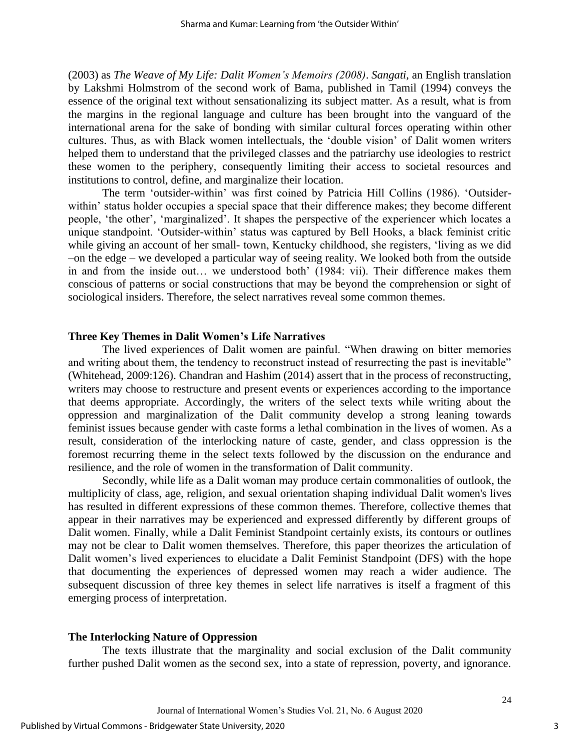(2003) as *The Weave of My Life: Dalit Women's Memoirs (2008)*. *Sangati,* an English translation by Lakshmi Holmstrom of the second work of Bama, published in Tamil (1994) conveys the essence of the original text without sensationalizing its subject matter. As a result, what is from the margins in the regional language and culture has been brought into the vanguard of the international arena for the sake of bonding with similar cultural forces operating within other cultures. Thus, as with Black women intellectuals, the 'double vision' of Dalit women writers helped them to understand that the privileged classes and the patriarchy use ideologies to restrict these women to the periphery, consequently limiting their access to societal resources and institutions to control, define, and marginalize their location.

The term 'outsider-within' was first coined by Patricia Hill Collins (1986). 'Outsiderwithin' status holder occupies a special space that their difference makes; they become different people, 'the other', 'marginalized'. It shapes the perspective of the experiencer which locates a unique standpoint. 'Outsider-within' status was captured by Bell Hooks, a black feminist critic while giving an account of her small- town, Kentucky childhood, she registers, 'living as we did –on the edge – we developed a particular way of seeing reality. We looked both from the outside in and from the inside out… we understood both' (1984: vii). Their difference makes them conscious of patterns or social constructions that may be beyond the comprehension or sight of sociological insiders. Therefore, the select narratives reveal some common themes.

#### **Three Key Themes in Dalit Women's Life Narratives**

The lived experiences of Dalit women are painful. "When drawing on bitter memories and writing about them, the tendency to reconstruct instead of resurrecting the past is inevitable" (Whitehead, 2009:126). Chandran and Hashim (2014) assert that in the process of reconstructing, writers may choose to restructure and present events or experiences according to the importance that deems appropriate. Accordingly, the writers of the select texts while writing about the oppression and marginalization of the Dalit community develop a strong leaning towards feminist issues because gender with caste forms a lethal combination in the lives of women. As a result, consideration of the interlocking nature of caste, gender, and class oppression is the foremost recurring theme in the select texts followed by the discussion on the endurance and resilience, and the role of women in the transformation of Dalit community.

Secondly, while life as a Dalit woman may produce certain commonalities of outlook, the multiplicity of class, age, religion, and sexual orientation shaping individual Dalit women's lives has resulted in different expressions of these common themes. Therefore, collective themes that appear in their narratives may be experienced and expressed differently by different groups of Dalit women. Finally, while a Dalit Feminist Standpoint certainly exists, its contours or outlines may not be clear to Dalit women themselves. Therefore, this paper theorizes the articulation of Dalit women's lived experiences to elucidate a Dalit Feminist Standpoint (DFS) with the hope that documenting the experiences of depressed women may reach a wider audience. The subsequent discussion of three key themes in select life narratives is itself a fragment of this emerging process of interpretation.

#### **The Interlocking Nature of Oppression**

The texts illustrate that the marginality and social exclusion of the Dalit community further pushed Dalit women as the second sex, into a state of repression, poverty, and ignorance.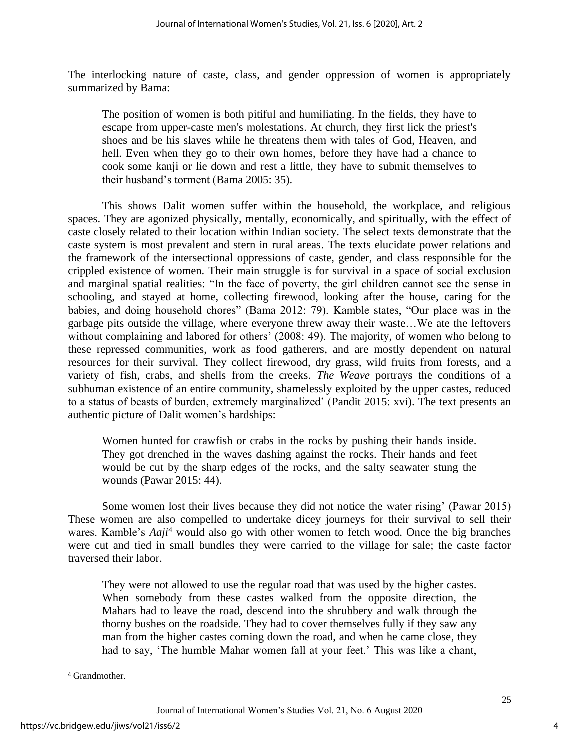The interlocking nature of caste, class, and gender oppression of women is appropriately summarized by Bama:

The position of women is both pitiful and humiliating. In the fields, they have to escape from upper-caste men's molestations. At church, they first lick the priest's shoes and be his slaves while he threatens them with tales of God, Heaven, and hell. Even when they go to their own homes, before they have had a chance to cook some kanji or lie down and rest a little, they have to submit themselves to their husband's torment (Bama 2005: 35).

This shows Dalit women suffer within the household, the workplace, and religious spaces. They are agonized physically, mentally, economically, and spiritually, with the effect of caste closely related to their location within Indian society. The select texts demonstrate that the caste system is most prevalent and stern in rural areas. The texts elucidate power relations and the framework of the intersectional oppressions of caste, gender, and class responsible for the crippled existence of women. Their main struggle is for survival in a space of social exclusion and marginal spatial realities: "In the face of poverty, the girl children cannot see the sense in schooling, and stayed at home, collecting firewood, looking after the house, caring for the babies, and doing household chores" (Bama 2012: 79). Kamble states, "Our place was in the garbage pits outside the village, where everyone threw away their waste…We ate the leftovers without complaining and labored for others' (2008: 49). The majority, of women who belong to these repressed communities, work as food gatherers, and are mostly dependent on natural resources for their survival. They collect firewood, dry grass, wild fruits from forests, and a variety of fish, crabs, and shells from the creeks. *The Weave* portrays the conditions of a subhuman existence of an entire community, shamelessly exploited by the upper castes, reduced to a status of beasts of burden, extremely marginalized' (Pandit 2015: xvi). The text presents an authentic picture of Dalit women's hardships:

Women hunted for crawfish or crabs in the rocks by pushing their hands inside. They got drenched in the waves dashing against the rocks. Their hands and feet would be cut by the sharp edges of the rocks, and the salty seawater stung the wounds (Pawar 2015: 44).

Some women lost their lives because they did not notice the water rising' (Pawar 2015) These women are also compelled to undertake dicey journeys for their survival to sell their wares. Kamble's *Aaji*<sup>4</sup> would also go with other women to fetch wood. Once the big branches were cut and tied in small bundles they were carried to the village for sale; the caste factor traversed their labor.

They were not allowed to use the regular road that was used by the higher castes. When somebody from these castes walked from the opposite direction, the Mahars had to leave the road, descend into the shrubbery and walk through the thorny bushes on the roadside. They had to cover themselves fully if they saw any man from the higher castes coming down the road, and when he came close, they had to say, 'The humble Mahar women fall at your feet.' This was like a chant,

<sup>4</sup> Grandmother.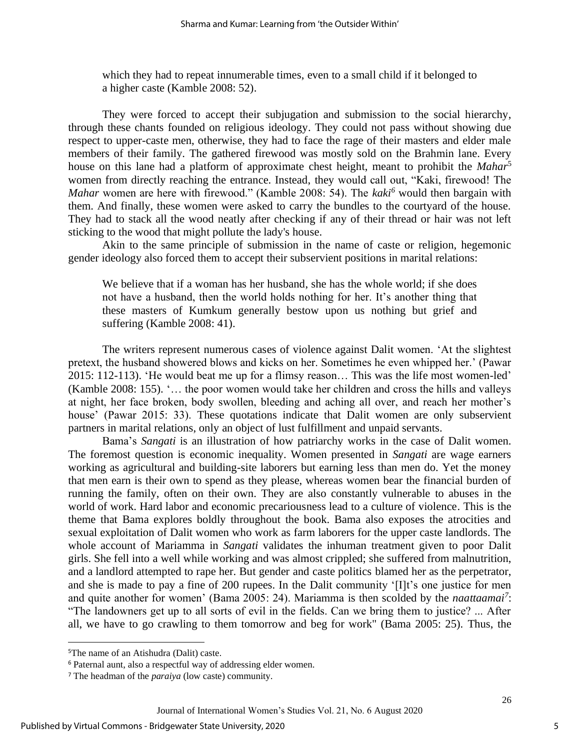which they had to repeat innumerable times, even to a small child if it belonged to a higher caste (Kamble 2008: 52).

They were forced to accept their subjugation and submission to the social hierarchy, through these chants founded on religious ideology. They could not pass without showing due respect to upper-caste men, otherwise, they had to face the rage of their masters and elder male members of their family. The gathered firewood was mostly sold on the Brahmin lane. Every house on this lane had a platform of approximate chest height, meant to prohibit the *Mahar*<sup>5</sup> women from directly reaching the entrance. Instead, they would call out, "Kaki, firewood! The *Mahar* women are here with firewood." (Kamble 2008: 54). The *kaki<sup>6</sup>* would then bargain with them. And finally, these women were asked to carry the bundles to the courtyard of the house. They had to stack all the wood neatly after checking if any of their thread or hair was not left sticking to the wood that might pollute the lady's house.

Akin to the same principle of submission in the name of caste or religion, hegemonic gender ideology also forced them to accept their subservient positions in marital relations:

We believe that if a woman has her husband, she has the whole world; if she does not have a husband, then the world holds nothing for her. It's another thing that these masters of Kumkum generally bestow upon us nothing but grief and suffering (Kamble 2008: 41).

The writers represent numerous cases of violence against Dalit women. 'At the slightest pretext, the husband showered blows and kicks on her. Sometimes he even whipped her.' (Pawar 2015: 112-113). 'He would beat me up for a flimsy reason… This was the life most women-led' (Kamble 2008: 155). '… the poor women would take her children and cross the hills and valleys at night, her face broken, body swollen, bleeding and aching all over, and reach her mother's house' (Pawar 2015: 33). These quotations indicate that Dalit women are only subservient partners in marital relations, only an object of lust fulfillment and unpaid servants.

Bama's *Sangati* is an illustration of how patriarchy works in the case of Dalit women. The foremost question is economic inequality. Women presented in *Sangati* are wage earners working as agricultural and building-site laborers but earning less than men do. Yet the money that men earn is their own to spend as they please, whereas women bear the financial burden of running the family, often on their own. They are also constantly vulnerable to abuses in the world of work. Hard labor and economic precariousness lead to a culture of violence. This is the theme that Bama explores boldly throughout the book. Bama also exposes the atrocities and sexual exploitation of Dalit women who work as farm laborers for the upper caste landlords. The whole account of Mariamma in *Sangati* validates the inhuman treatment given to poor Dalit girls. She fell into a well while working and was almost crippled; she suffered from malnutrition, and a landlord attempted to rape her. But gender and caste politics blamed her as the perpetrator, and she is made to pay a fine of 200 rupees. In the Dalit community '[I]t's one justice for men and quite another for women' (Bama 2005: 24). Mariamma is then scolded by the *naattaamai<sup>7</sup>* : "The landowners get up to all sorts of evil in the fields. Can we bring them to justice? ... After all, we have to go crawling to them tomorrow and beg for work" (Bama 2005: 25). Thus, the

<sup>5</sup>The name of an Atishudra (Dalit) caste.

<sup>6</sup> Paternal aunt, also a respectful way of addressing elder women.

<sup>7</sup> The headman of the *paraiya* (low caste) community.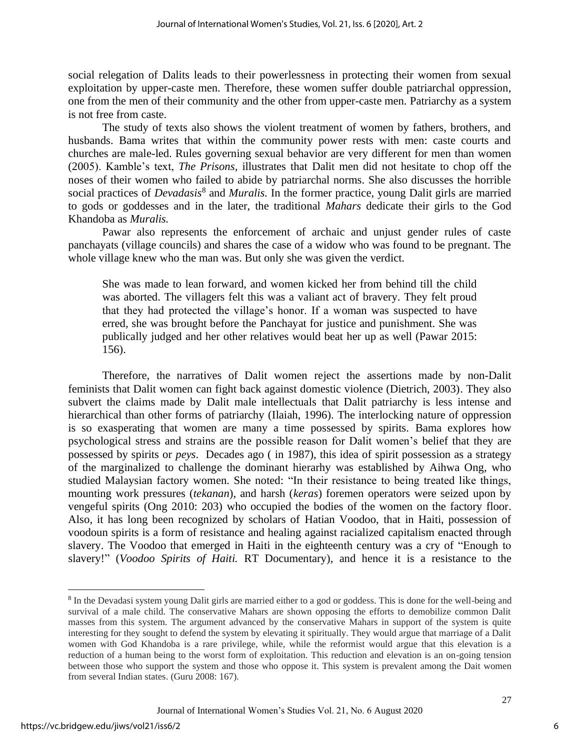social relegation of Dalits leads to their powerlessness in protecting their women from sexual exploitation by upper-caste men. Therefore, these women suffer double patriarchal oppression, one from the men of their community and the other from upper-caste men. Patriarchy as a system is not free from caste.

The study of texts also shows the violent treatment of women by fathers, brothers, and husbands. Bama writes that within the community power rests with men: caste courts and churches are male-led. Rules governing sexual behavior are very different for men than women (2005). Kamble's text, *The Prisons,* illustrates that Dalit men did not hesitate to chop off the noses of their women who failed to abide by patriarchal norms. She also discusses the horrible social practices of *Devadasis*<sup>8</sup> and *Muralis*. In the former practice, young Dalit girls are married to gods or goddesses and in the later, the traditional *Mahars* dedicate their girls to the God Khandoba as *Muralis.* 

Pawar also represents the enforcement of archaic and unjust gender rules of caste panchayats (village councils) and shares the case of a widow who was found to be pregnant. The whole village knew who the man was. But only she was given the verdict.

She was made to lean forward, and women kicked her from behind till the child was aborted. The villagers felt this was a valiant act of bravery. They felt proud that they had protected the village's honor. If a woman was suspected to have erred, she was brought before the Panchayat for justice and punishment. She was publically judged and her other relatives would beat her up as well (Pawar 2015: 156).

Therefore, the narratives of Dalit women reject the assertions made by non-Dalit feminists that Dalit women can fight back against domestic violence (Dietrich, 2003). They also subvert the claims made by Dalit male intellectuals that Dalit patriarchy is less intense and hierarchical than other forms of patriarchy (Ilaiah, 1996). The interlocking nature of oppression is so exasperating that women are many a time possessed by spirits. Bama explores how psychological stress and strains are the possible reason for Dalit women's belief that they are possessed by spirits or *peys*. Decades ago ( in 1987), this idea of spirit possession as a strategy of the marginalized to challenge the dominant hierarhy was established by Aihwa Ong, who studied Malaysian factory women. She noted: "In their resistance to being treated like things, mounting work pressures (*tekanan*), and harsh (*keras*) foremen operators were seized upon by vengeful spirits (Ong 2010: 203) who occupied the bodies of the women on the factory floor. Also, it has long been recognized by scholars of Hatian Voodoo, that in Haiti, possession of voodoun spirits is a form of resistance and healing against racialized capitalism enacted through slavery. The Voodoo that emerged in Haiti in the eighteenth century was a cry of "Enough to slavery!" (*Voodoo Spirits of Haiti.* RT Documentary), and hence it is a resistance to the

<sup>&</sup>lt;sup>8</sup> In the Devadasi system young Dalit girls are married either to a god or goddess. This is done for the well-being and survival of a male child. The conservative Mahars are shown opposing the efforts to demobilize common Dalit masses from this system. The argument advanced by the conservative Mahars in support of the system is quite interesting for they sought to defend the system by elevating it spiritually. They would argue that marriage of a Dalit women with God Khandoba is a rare privilege, while, while the reformist would argue that this elevation is a reduction of a human being to the worst form of exploitation. This reduction and elevation is an on-going tension between those who support the system and those who oppose it. This system is prevalent among the Dait women from several Indian states. (Guru 2008: 167).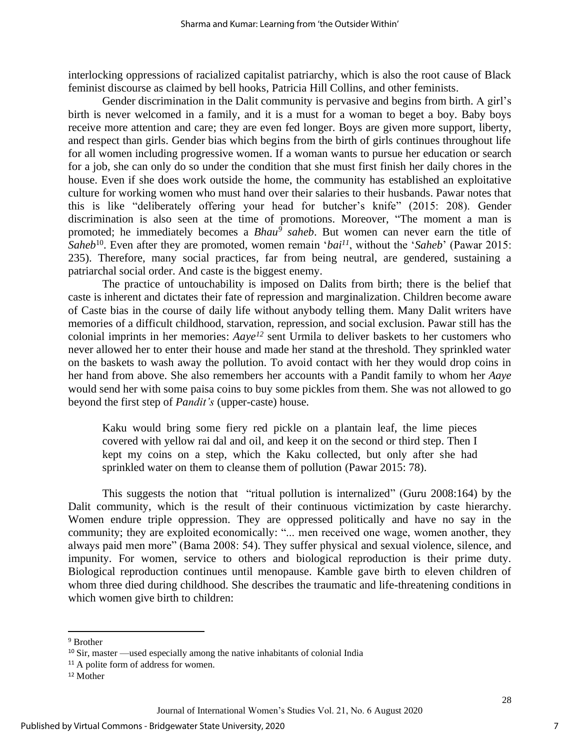interlocking oppressions of racialized capitalist patriarchy, which is also the root cause of Black feminist discourse as claimed by bell hooks, Patricia Hill Collins, and other feminists.

Gender discrimination in the Dalit community is pervasive and begins from birth. A girl's birth is never welcomed in a family, and it is a must for a woman to beget a boy. Baby boys receive more attention and care; they are even fed longer. Boys are given more support, liberty, and respect than girls. Gender bias which begins from the birth of girls continues throughout life for all women including progressive women. If a woman wants to pursue her education or search for a job, she can only do so under the condition that she must first finish her daily chores in the house. Even if she does work outside the home, the community has established an exploitative culture for working women who must hand over their salaries to their husbands. Pawar notes that this is like "deliberately offering your head for butcher's knife" (2015: 208). Gender discrimination is also seen at the time of promotions. Moreover, "The moment a man is promoted; he immediately becomes a *Bhau<sup>9</sup> saheb*. But women can never earn the title of *Saheb*<sup>10</sup> . Even after they are promoted, women remain '*bai<sup>11</sup>*, without the '*Saheb*' (Pawar 2015: 235). Therefore, many social practices, far from being neutral, are gendered, sustaining a patriarchal social order. And caste is the biggest enemy.

The practice of untouchability is imposed on Dalits from birth; there is the belief that caste is inherent and dictates their fate of repression and marginalization. Children become aware of Caste bias in the course of daily life without anybody telling them. Many Dalit writers have memories of a difficult childhood, starvation, repression, and social exclusion. Pawar still has the colonial imprints in her memories: *Aaye<sup>12</sup>* sent Urmila to deliver baskets to her customers who never allowed her to enter their house and made her stand at the threshold. They sprinkled water on the baskets to wash away the pollution. To avoid contact with her they would drop coins in her hand from above. She also remembers her accounts with a Pandit family to whom her *Aaye* would send her with some paisa coins to buy some pickles from them. She was not allowed to go beyond the first step of *Pandit's* (upper-caste) house.

Kaku would bring some fiery red pickle on a plantain leaf, the lime pieces covered with yellow rai dal and oil, and keep it on the second or third step. Then I kept my coins on a step, which the Kaku collected, but only after she had sprinkled water on them to cleanse them of pollution (Pawar 2015: 78).

This suggests the notion that "ritual pollution is internalized" (Guru 2008:164) by the Dalit community, which is the result of their continuous victimization by caste hierarchy. Women endure triple oppression. They are oppressed politically and have no say in the community; they are exploited economically: "... men received one wage, women another, they always paid men more" (Bama 2008: 54). They suffer physical and sexual violence, silence, and impunity. For women, service to others and biological reproduction is their prime duty. Biological reproduction continues until menopause. Kamble gave birth to eleven children of whom three died during childhood. She describes the traumatic and life-threatening conditions in which women give birth to children:

7

<sup>9</sup> Brother

<sup>10</sup> Sir, master —used especially among the native inhabitants of colonial India

<sup>&</sup>lt;sup>11</sup> A polite form of address for women.

<sup>12</sup> Mother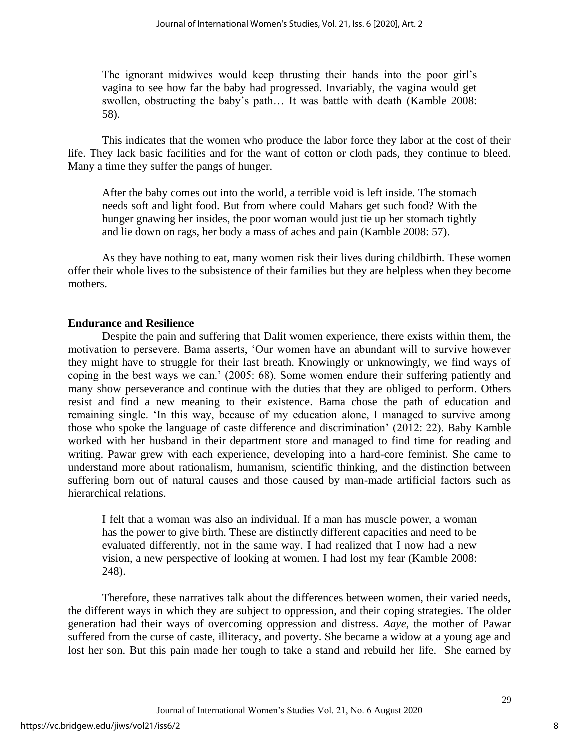The ignorant midwives would keep thrusting their hands into the poor girl's vagina to see how far the baby had progressed. Invariably, the vagina would get swollen, obstructing the baby's path… It was battle with death (Kamble 2008: 58).

This indicates that the women who produce the labor force they labor at the cost of their life. They lack basic facilities and for the want of cotton or cloth pads, they continue to bleed. Many a time they suffer the pangs of hunger.

After the baby comes out into the world, a terrible void is left inside. The stomach needs soft and light food. But from where could Mahars get such food? With the hunger gnawing her insides, the poor woman would just tie up her stomach tightly and lie down on rags, her body a mass of aches and pain (Kamble 2008: 57).

As they have nothing to eat, many women risk their lives during childbirth. These women offer their whole lives to the subsistence of their families but they are helpless when they become mothers.

# **Endurance and Resilience**

Despite the pain and suffering that Dalit women experience, there exists within them, the motivation to persevere. Bama asserts, 'Our women have an abundant will to survive however they might have to struggle for their last breath. Knowingly or unknowingly, we find ways of coping in the best ways we can.' (2005: 68). Some women endure their suffering patiently and many show perseverance and continue with the duties that they are obliged to perform. Others resist and find a new meaning to their existence. Bama chose the path of education and remaining single. 'In this way, because of my education alone, I managed to survive among those who spoke the language of caste difference and discrimination' (2012: 22). Baby Kamble worked with her husband in their department store and managed to find time for reading and writing. Pawar grew with each experience, developing into a hard-core feminist. She came to understand more about rationalism, humanism, scientific thinking, and the distinction between suffering born out of natural causes and those caused by man-made artificial factors such as hierarchical relations.

I felt that a woman was also an individual. If a man has muscle power, a woman has the power to give birth. These are distinctly different capacities and need to be evaluated differently, not in the same way. I had realized that I now had a new vision, a new perspective of looking at women. I had lost my fear (Kamble 2008: 248).

Therefore, these narratives talk about the differences between women, their varied needs, the different ways in which they are subject to oppression, and their coping strategies. The older generation had their ways of overcoming oppression and distress. *Aaye*, the mother of Pawar suffered from the curse of caste, illiteracy, and poverty. She became a widow at a young age and lost her son. But this pain made her tough to take a stand and rebuild her life. She earned by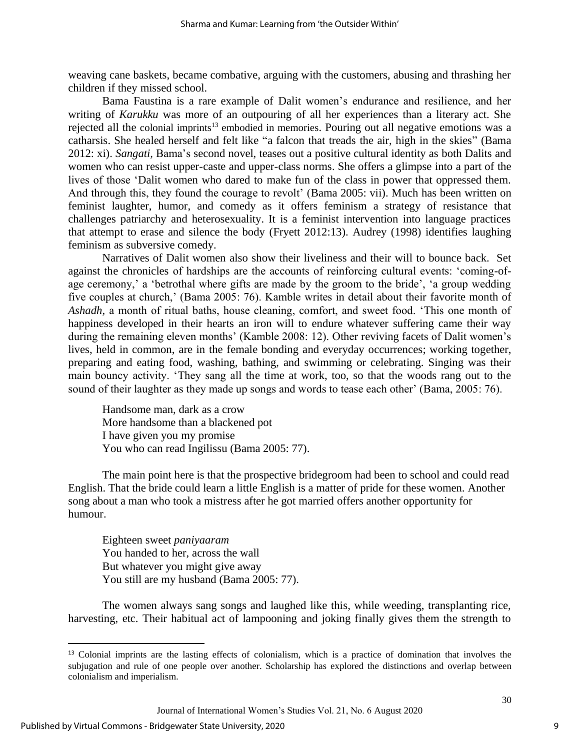weaving cane baskets, became combative, arguing with the customers, abusing and thrashing her children if they missed school.

Bama Faustina is a rare example of Dalit women's endurance and resilience, and her writing of *Karukku* was more of an outpouring of all her experiences than a literary act. She rejected all the colonial imprints<sup>13</sup> embodied in memories. Pouring out all negative emotions was a catharsis. She healed herself and felt like "a falcon that treads the air, high in the skies" (Bama 2012: xi). *Sangati,* Bama's second novel, teases out a positive cultural identity as both Dalits and women who can resist upper-caste and upper-class norms. She offers a glimpse into a part of the lives of those 'Dalit women who dared to make fun of the class in power that oppressed them. And through this, they found the courage to revolt' (Bama 2005: vii). Much has been written on feminist laughter, humor, and comedy as it offers feminism a strategy of resistance that challenges patriarchy and heterosexuality. It is a feminist intervention into language practices that attempt to erase and silence the body (Fryett 2012:13). Audrey (1998) identifies laughing feminism as subversive comedy.

Narratives of Dalit women also show their liveliness and their will to bounce back. Set against the chronicles of hardships are the accounts of reinforcing cultural events: 'coming-ofage ceremony,' a 'betrothal where gifts are made by the groom to the bride', 'a group wedding five couples at church,' (Bama 2005: 76). Kamble writes in detail about their favorite month of *Ashadh,* a month of ritual baths, house cleaning, comfort, and sweet food. 'This one month of happiness developed in their hearts an iron will to endure whatever suffering came their way during the remaining eleven months' (Kamble 2008: 12). Other reviving facets of Dalit women's lives, held in common, are in the female bonding and everyday occurrences; working together, preparing and eating food, washing, bathing, and swimming or celebrating. Singing was their main bouncy activity. 'They sang all the time at work, too, so that the woods rang out to the sound of their laughter as they made up songs and words to tease each other' (Bama, 2005: 76).

Handsome man, dark as a crow More handsome than a blackened pot I have given you my promise You who can read Ingilissu (Bama 2005: 77).

The main point here is that the prospective bridegroom had been to school and could read English. That the bride could learn a little English is a matter of pride for these women. Another song about a man who took a mistress after he got married offers another opportunity for humour.

Eighteen sweet *paniyaaram* You handed to her, across the wall But whatever you might give away You still are my husband (Bama 2005: 77).

The women always sang songs and laughed like this, while weeding, transplanting rice, harvesting, etc. Their habitual act of lampooning and joking finally gives them the strength to

Journal of International Women's Studies Vol. 21, No. 6 August 2020

<sup>&</sup>lt;sup>13</sup> Colonial imprints are the lasting effects of colonialism, which is a practice of domination that involves the subjugation and rule of one people over another. Scholarship has explored the distinctions and overlap between colonialism and imperialism.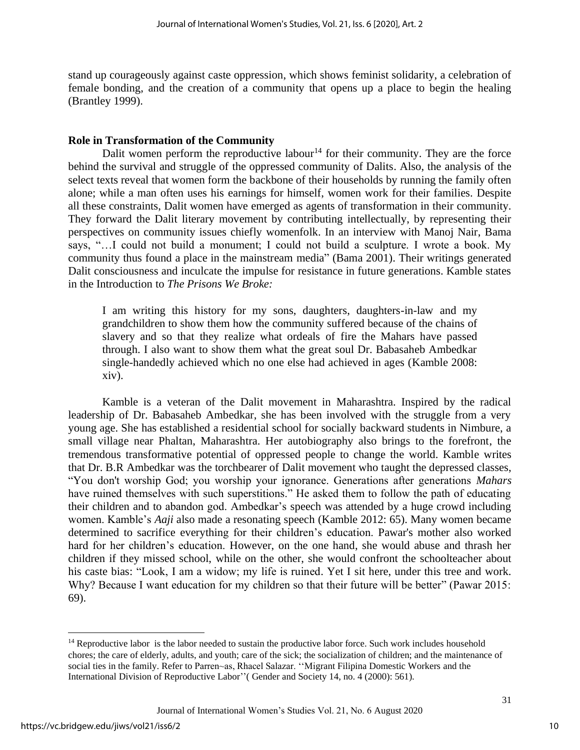stand up courageously against caste oppression, which shows feminist solidarity, a celebration of female bonding, and the creation of a community that opens up a place to begin the healing (Brantley 1999).

### **Role in Transformation of the Community**

Dalit women perform the reproductive labour<sup>14</sup> for their community. They are the force behind the survival and struggle of the oppressed community of Dalits. Also, the analysis of the select texts reveal that women form the backbone of their households by running the family often alone; while a man often uses his earnings for himself, women work for their families. Despite all these constraints, Dalit women have emerged as agents of transformation in their community. They forward the Dalit literary movement by contributing intellectually, by representing their perspectives on community issues chiefly womenfolk. In an interview with Manoj Nair, Bama says, "…I could not build a monument; I could not build a sculpture. I wrote a book. My community thus found a place in the mainstream media" (Bama 2001). Their writings generated Dalit consciousness and inculcate the impulse for resistance in future generations. Kamble states in the Introduction to *The Prisons We Broke:*

I am writing this history for my sons, daughters, daughters-in-law and my grandchildren to show them how the community suffered because of the chains of slavery and so that they realize what ordeals of fire the Mahars have passed through. I also want to show them what the great soul Dr. Babasaheb Ambedkar single-handedly achieved which no one else had achieved in ages (Kamble 2008: xiv).

Kamble is a veteran of the Dalit movement in Maharashtra. Inspired by the radical leadership of Dr. Babasaheb Ambedkar, she has been involved with the struggle from a very young age. She has established a residential school for socially backward students in Nimbure, a small village near Phaltan, Maharashtra. Her autobiography also brings to the forefront, the tremendous transformative potential of oppressed people to change the world. Kamble writes that Dr. B.R Ambedkar was the torchbearer of Dalit movement who taught the depressed classes, "You don't worship God; you worship your ignorance. Generations after generations *Mahars* have ruined themselves with such superstitions." He asked them to follow the path of educating their children and to abandon god. Ambedkar's speech was attended by a huge crowd including women. Kamble's *Aaji* also made a resonating speech (Kamble 2012: 65). Many women became determined to sacrifice everything for their children's education. Pawar's mother also worked hard for her children's education. However, on the one hand, she would abuse and thrash her children if they missed school, while on the other, she would confront the schoolteacher about his caste bias: "Look, I am a widow; my life is ruined. Yet I sit here, under this tree and work. Why? Because I want education for my children so that their future will be better" (Pawar 2015: 69).

<sup>&</sup>lt;sup>14</sup> Reproductive labor is the labor needed to sustain the productive labor force. Such work includes household chores; the care of elderly, adults, and youth; care of the sick; the socialization of children; and the maintenance of social ties in the family. Refer to Parren~as, Rhacel Salazar. ''Migrant Filipina Domestic Workers and the International Division of Reproductive Labor''( Gender and Society 14, no. 4 (2000): 561).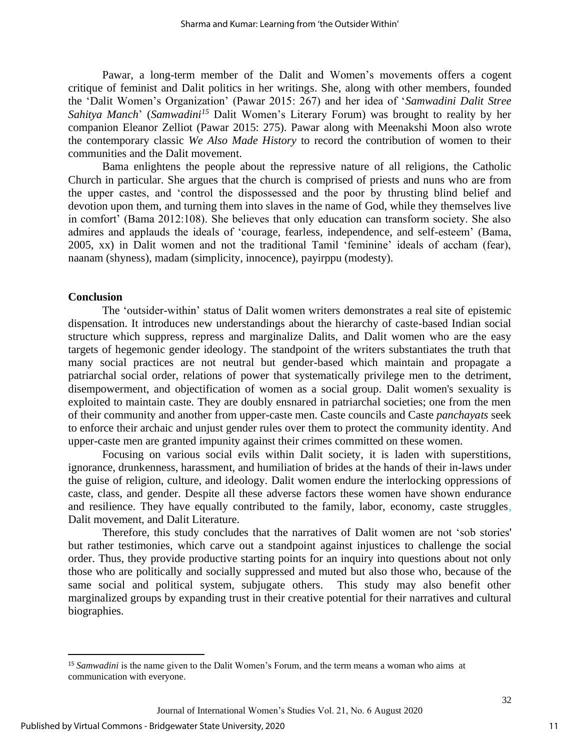Pawar, a long-term member of the Dalit and Women's movements offers a cogent critique of feminist and Dalit politics in her writings. She, along with other members, founded the 'Dalit Women's Organization' (Pawar 2015: 267) and her idea of '*Samwadini Dalit Stree Sahitya Manch*' (*Samwadini<sup>15</sup>* Dalit Women's Literary Forum) was brought to reality by her companion Eleanor Zelliot (Pawar 2015: 275). Pawar along with Meenakshi Moon also wrote the contemporary classic *We Also Made History* to record the contribution of women to their communities and the Dalit movement.

Bama enlightens the people about the repressive nature of all religions, the Catholic Church in particular. She argues that the church is comprised of priests and nuns who are from the upper castes, and 'control the dispossessed and the poor by thrusting blind belief and devotion upon them, and turning them into slaves in the name of God, while they themselves live in comfort' (Bama 2012:108). She believes that only education can transform society. She also admires and applauds the ideals of 'courage, fearless, independence, and self-esteem' (Bama, 2005, xx) in Dalit women and not the traditional Tamil 'feminine' ideals of accham (fear), naanam (shyness), madam (simplicity, innocence), payirppu (modesty).

#### **Conclusion**

The 'outsider-within' status of Dalit women writers demonstrates a real site of epistemic dispensation. It introduces new understandings about the hierarchy of caste-based Indian social structure which suppress, repress and marginalize Dalits, and Dalit women who are the easy targets of hegemonic gender ideology. The standpoint of the writers substantiates the truth that many social practices are not neutral but gender-based which maintain and propagate a patriarchal social order, relations of power that systematically privilege men to the detriment, disempowerment, and objectification of women as a social group. Dalit women's sexuality is exploited to maintain caste. They are doubly ensnared in patriarchal societies; one from the men of their community and another from upper-caste men. Caste councils and Caste *panchayats* seek to enforce their archaic and unjust gender rules over them to protect the community identity. And upper-caste men are granted impunity against their crimes committed on these women.

Focusing on various social evils within Dalit society, it is laden with superstitions, ignorance, drunkenness, harassment, and humiliation of brides at the hands of their in-laws under the guise of religion, culture, and ideology. Dalit women endure the interlocking oppressions of caste, class, and gender. Despite all these adverse factors these women have shown endurance and resilience. They have equally contributed to the family, labor, economy, caste struggles, Dalit movement, and Dalit Literature.

Therefore, this study concludes that the narratives of Dalit women are not 'sob stories' but rather testimonies, which carve out a standpoint against injustices to challenge the social order. Thus, they provide productive starting points for an inquiry into questions about not only those who are politically and socially suppressed and muted but also those who, because of the same social and political system, subjugate others. This study may also benefit other marginalized groups by expanding trust in their creative potential for their narratives and cultural biographies.

<sup>15</sup> *Samwadini* is the name given to the Dalit Women's Forum, and the term means a woman who aims at communication with everyone.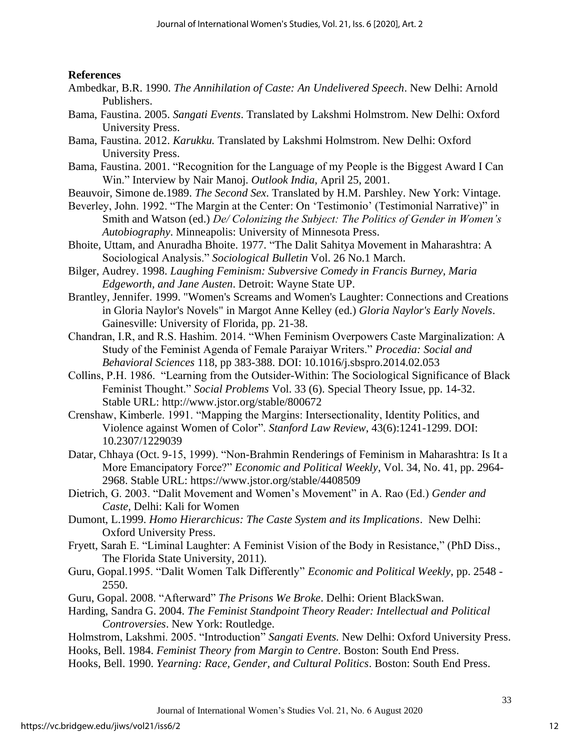## **References**

- Ambedkar, B.R. 1990. *The Annihilation of Caste: An Undelivered Speech*. New Delhi: Arnold Publishers.
- Bama, Faustina. 2005. *Sangati Events*. Translated by Lakshmi Holmstrom. New Delhi: Oxford University Press.
- Bama, Faustina. 2012. *Karukku.* Translated by Lakshmi Holmstrom. New Delhi: Oxford University Press.
- Bama, Faustina. 2001. "Recognition for the Language of my People is the Biggest Award I Can Win." Interview by Nair Manoj. *Outlook India,* April 25, 2001.
- Beauvoir, Simone de.1989. *The Second Sex*. Translated by H.M. Parshley. New York: Vintage.
- Beverley, John. 1992. "The Margin at the Center: On 'Testimonio' (Testimonial Narrative)" in Smith and Watson (ed.) *De/ Colonizing the Subject: The Politics of Gender in Women's Autobiography*. Minneapolis: University of Minnesota Press.
- Bhoite, Uttam, and Anuradha Bhoite. 1977. "The Dalit Sahitya Movement in Maharashtra: A Sociological Analysis." *Sociological Bulletin* Vol. 26 No.1 March.
- Bilger, Audrey. 1998. *Laughing Feminism: Subversive Comedy in Francis Burney, Maria Edgeworth, and Jane Austen*. Detroit: Wayne State UP.
- Brantley, Jennifer. 1999. "Women's Screams and Women's Laughter: Connections and Creations in Gloria Naylor's Novels" in Margot Anne Kelley (ed.) *Gloria Naylor's Early Novels*. Gainesville: University of Florida, pp. 21-38.
- Chandran, I.R, and R.S. Hashim. 2014. "When Feminism Overpowers Caste Marginalization: A Study of the Feminist Agenda of Female Paraiyar Writers." *Procedia: Social and Behavioral Sciences* 118, pp 383-388. DOI: 10.1016/j.sbspro.2014.02.053
- Collins, P.H. 1986. "Learning from the Outsider-Within: The Sociological Significance of Black Feminist Thought." *Social Problems* Vol. 33 (6). Special Theory Issue, pp. 14-32. Stable URL:<http://www.jstor.org/stable/800672>
- Crenshaw, Kimberle. 1991. "Mapping the Margins: Intersectionality, Identity Politics, and Violence against Women of Color". *Stanford Law Review*, 43(6):1241-1299. DOI: 10.2307/1229039
- Datar, Chhaya (Oct. 9-15, 1999). "Non-Brahmin Renderings of Feminism in Maharashtra: Is It a More Emancipatory Force?" *Economic and Political Weekly*, Vol. 34, No. 41, pp. 2964- 2968. Stable URL:<https://www.jstor.org/stable/4408509>
- Dietrich, G. 2003. "Dalit Movement and Women's Movement" in A. Rao (Ed.) *Gender and Caste*, Delhi: Kali for Women
- Dumont, L.1999. *Homo Hierarchicus: The Caste System and its Implications*. New Delhi: Oxford University Press.
- Fryett, Sarah E. "Liminal Laughter: A Feminist Vision of the Body in Resistance," (PhD Diss., The Florida State University, 2011).
- Guru, Gopal.1995. "Dalit Women Talk Differently" *Economic and Political Weekly*, pp. 2548 2550.
- Guru, Gopal. 2008. "Afterward" *The Prisons We Broke*. Delhi: Orient BlackSwan.
- Harding, Sandra G. 2004. *The Feminist Standpoint Theory Reader: Intellectual and Political Controversies*. New York: Routledge.
- Holmstrom, Lakshmi. 2005. "Introduction" *Sangati Events.* New Delhi: Oxford University Press.
- Hooks, Bell. 1984. *Feminist Theory from Margin to Centre*. Boston: South End Press.
- Hooks, Bell. 1990. *Yearning: Race, Gender, and Cultural Politics*. Boston: South End Press.